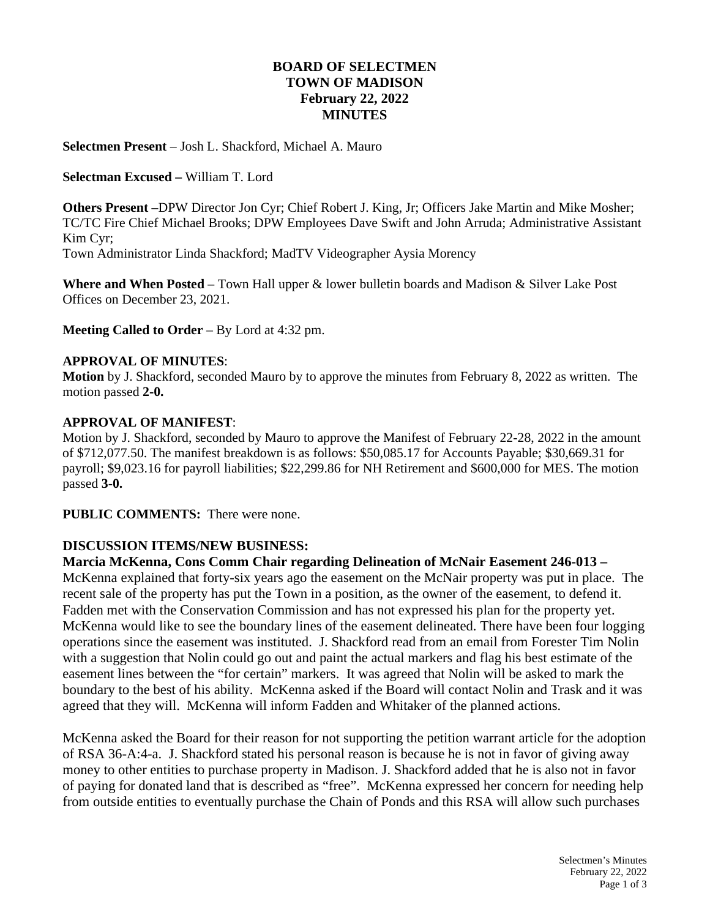# **BOARD OF SELECTMEN TOWN OF MADISON February 22, 2022 MINUTES**

#### **Selectmen Present** – Josh L. Shackford, Michael A. Mauro

#### **Selectman Excused –** William T. Lord

**Others Present –**DPW Director Jon Cyr; Chief Robert J. King, Jr; Officers Jake Martin and Mike Mosher; TC/TC Fire Chief Michael Brooks; DPW Employees Dave Swift and John Arruda; Administrative Assistant Kim Cyr; Town Administrator Linda Shackford; MadTV Videographer Aysia Morency

**Where and When Posted** – Town Hall upper & lower bulletin boards and Madison & Silver Lake Post Offices on December 23, 2021.

**Meeting Called to Order** – By Lord at 4:32 pm.

#### **APPROVAL OF MINUTES**:

**Motion** by J. Shackford, seconded Mauro by to approve the minutes from February 8, 2022 as written. The motion passed **2-0.**

#### **APPROVAL OF MANIFEST**:

Motion by J. Shackford, seconded by Mauro to approve the Manifest of February 22-28, 2022 in the amount of \$712,077.50. The manifest breakdown is as follows: \$50,085.17 for Accounts Payable; \$30,669.31 for payroll; \$9,023.16 for payroll liabilities; \$22,299.86 for NH Retirement and \$600,000 for MES. The motion passed **3-0.**

**PUBLIC COMMENTS:** There were none.

### **DISCUSSION ITEMS/NEW BUSINESS:**

## **Marcia McKenna, Cons Comm Chair regarding Delineation of McNair Easement 246-013 –**

McKenna explained that forty-six years ago the easement on the McNair property was put in place. The recent sale of the property has put the Town in a position, as the owner of the easement, to defend it. Fadden met with the Conservation Commission and has not expressed his plan for the property yet. McKenna would like to see the boundary lines of the easement delineated. There have been four logging operations since the easement was instituted. J. Shackford read from an email from Forester Tim Nolin with a suggestion that Nolin could go out and paint the actual markers and flag his best estimate of the easement lines between the "for certain" markers. It was agreed that Nolin will be asked to mark the boundary to the best of his ability. McKenna asked if the Board will contact Nolin and Trask and it was agreed that they will. McKenna will inform Fadden and Whitaker of the planned actions.

McKenna asked the Board for their reason for not supporting the petition warrant article for the adoption of RSA 36-A:4-a. J. Shackford stated his personal reason is because he is not in favor of giving away money to other entities to purchase property in Madison. J. Shackford added that he is also not in favor of paying for donated land that is described as "free". McKenna expressed her concern for needing help from outside entities to eventually purchase the Chain of Ponds and this RSA will allow such purchases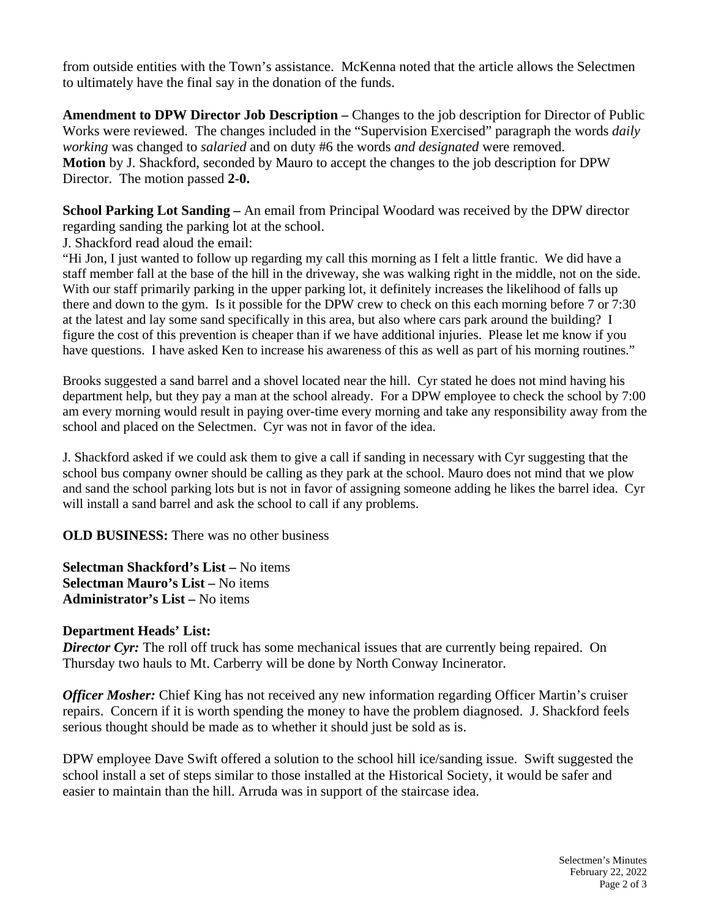from outside entities with the Town's assistance. McKenna noted that the article allows the Selectmen to ultimately have the final say in the donation of the funds.

**Amendment to DPW Director Job Description –** Changes to the job description for Director of Public Works were reviewed. The changes included in the "Supervision Exercised" paragraph the words *daily working* was changed to *salaried* and on duty #6 the words *and designated* were removed. **Motion** by J. Shackford, seconded by Mauro to accept the changes to the job description for DPW Director. The motion passed **2-0.**

**School Parking Lot Sanding –** An email from Principal Woodard was received by the DPW director regarding sanding the parking lot at the school.

J. Shackford read aloud the email:

"Hi Jon, I just wanted to follow up regarding my call this morning as I felt a little frantic. We did have a staff member fall at the base of the hill in the driveway, she was walking right in the middle, not on the side. With our staff primarily parking in the upper parking lot, it definitely increases the likelihood of falls up there and down to the gym. Is it possible for the DPW crew to check on this each morning before 7 or 7:30 at the latest and lay some sand specifically in this area, but also where cars park around the building? I figure the cost of this prevention is cheaper than if we have additional injuries. Please let me know if you have questions. I have asked Ken to increase his awareness of this as well as part of his morning routines."

Brooks suggested a sand barrel and a shovel located near the hill. Cyr stated he does not mind having his department help, but they pay a man at the school already. For a DPW employee to check the school by 7:00 am every morning would result in paying over-time every morning and take any responsibility away from the school and placed on the Selectmen. Cyr was not in favor of the idea.

J. Shackford asked if we could ask them to give a call if sanding in necessary with Cyr suggesting that the school bus company owner should be calling as they park at the school. Mauro does not mind that we plow and sand the school parking lots but is not in favor of assigning someone adding he likes the barrel idea. Cyr will install a sand barrel and ask the school to call if any problems.

**OLD BUSINESS:** There was no other business

**Selectman Shackford's List –** No items **Selectman Mauro's List –** No items **Administrator's List –** No items

# **Department Heads' List:**

**Director Cyr:** The roll off truck has some mechanical issues that are currently being repaired. On Thursday two hauls to Mt. Carberry will be done by North Conway Incinerator.

*Officer Mosher:* Chief King has not received any new information regarding Officer Martin's cruiser repairs. Concern if it is worth spending the money to have the problem diagnosed. J. Shackford feels serious thought should be made as to whether it should just be sold as is.

DPW employee Dave Swift offered a solution to the school hill ice/sanding issue. Swift suggested the school install a set of steps similar to those installed at the Historical Society, it would be safer and easier to maintain than the hill. Arruda was in support of the staircase idea.